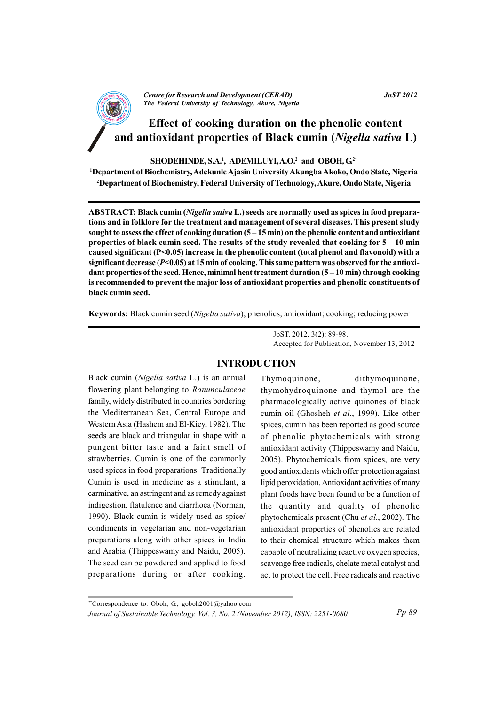

# Effect of cooking duration on the phenolic content and antioxidant properties of Black cumin (Nigella sativa L)

SHODEHINDE, S.A.<sup>1</sup>, ADEMILUYI, A.O.<sup>2</sup> and OBOH, G<sup>2\*</sup>

<sup>1</sup>Department of Biochemistry, Adekunle Ajasin University Akungba Akoko, Ondo State, Nigeria <sup>2</sup>Department of Biochemistry, Federal University of Technology, Akure, Ondo State, Nigeria

ABSTRACT: Black cumin (Nigella sativa L.) seeds are normally used as spices in food preparations and in folklore for the treatment and management of several diseases. This present study sought to assess the effect of cooking duration  $(5-15 \text{ min})$  on the phenolic content and antioxidant properties of black cumin seed. The results of the study revealed that cooking for  $5-10$  min caused significant  $(P<0.05)$  increase in the phenolic content (total phenol and flavonoid) with a significant decrease ( $P<0.05$ ) at 15 min of cooking. This same pattern was observed for the antioxidant properties of the seed. Hence, minimal heat treatment duration  $(5-10 \text{ min})$  through cooking is recommended to prevent the major loss of antioxidant properties and phenolic constituents of black cumin seed.

Keywords: Black cumin seed (Nigella sativa); phenolics; antioxidant; cooking; reducing power

JoST. 2012. 3(2): 89-98. Accepted for Publication, November 13, 2012

## **INTRODUCTION**

Black cumin (Nigella sativa L.) is an annual flowering plant belonging to Ranunculaceae family, widely distributed in countries bordering the Mediterranean Sea, Central Europe and Western Asia (Hashem and El-Kiey, 1982). The seeds are black and triangular in shape with a pungent bitter taste and a faint smell of strawberries. Cumin is one of the commonly used spices in food preparations. Traditionally Cumin is used in medicine as a stimulant, a carminative, an astringent and as remedy against indigestion, flatulence and diarrhoea (Norman, 1990). Black cumin is widely used as spice/ condiments in vegetarian and non-vegetarian preparations along with other spices in India and Arabia (Thippeswamy and Naidu, 2005). The seed can be powdered and applied to food preparations during or after cooking.

Thymoquinone, dithymoquinone, thymohydroquinone and thymol are the pharmacologically active quinones of black cumin oil (Ghosheh et al., 1999). Like other spices, cumin has been reported as good source of phenolic phytochemicals with strong antioxidant activity (Thippeswamy and Naidu, 2005). Phytochemicals from spices, are very good antioxidants which offer protection against lipid peroxidation. Antioxidant activities of many plant foods have been found to be a function of the quantity and quality of phenolic phytochemicals present (Chu et al., 2002). The antioxidant properties of phenolics are related to their chemical structure which makes them capable of neutralizing reactive oxygen species, scavenge free radicals, chelate metal catalyst and act to protect the cell. Free radicals and reactive

<sup>2\*</sup>Correspondence to: Oboh, G., goboh2001@yahoo.com Journal of Sustainable Technology, Vol. 3, No. 2 (November 2012), ISSN: 2251-0680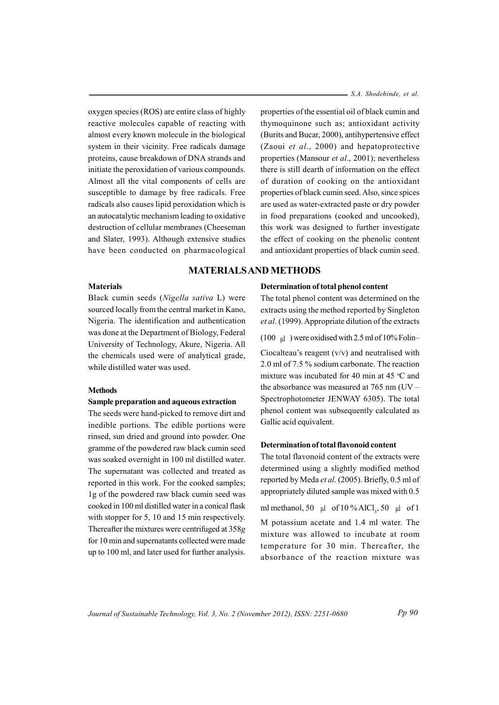oxygen species (ROS) are entire class of highly reactive molecules capable of reacting with almost every known molecule in the biological system in their vicinity. Free radicals damage proteins, cause breakdown of DNA strands and initiate the peroxidation of various compounds. Almost all the vital components of cells are susceptible to damage by free radicals. Free radicals also causes lipid peroxidation which is an autocatalytic mechanism leading to oxidative destruction of cellular membranes (Cheeseman and Slater, 1993). Although extensive studies have been conducted on pharmacological - S.A. Shodehinde, et al.

properties of the essential oil of black cumin and thymoquinone such as; antioxidant activity (Burits and Bucar, 2000), antihypertensive effect (Zaoui et al., 2000) and hepatoprotective properties (Mansour et al., 2001); nevertheless there is still dearth of information on the effect of duration of cooking on the antioxidant properties of black cumin seed. Also, since spices are used as water-extracted paste or dry powder in food preparations (cooked and uncooked), this work was designed to further investigate the effect of cooking on the phenolic content and antioxidant properties of black cumin seed.

## **MATERIALS AND METHODS**

#### **Materials**

Black cumin seeds (Nigella sativa L) were sourced locally from the central market in Kano, Nigeria. The identification and authentication was done at the Department of Biology, Federal University of Technology, Akure, Nigeria. All the chemicals used were of analytical grade, while distilled water was used

### **Methods**

## Sample preparation and aqueous extraction

The seeds were hand-picked to remove dirt and inedible portions. The edible portions were rinsed, sun dried and ground into powder. One gramme of the powdered raw black cumin seed was soaked overnight in 100 ml distilled water. The supernatant was collected and treated as reported in this work. For the cooked samples; 1g of the powdered raw black cumin seed was cooked in 100 ml distilled water in a conical flask with stopper for 5, 10 and 15 min respectively. Thereafter the mixtures were centrifuged at 358g for 10 min and supernatants collected were made up to 100 ml, and later used for further analysis.

#### Determination of total phenol content

The total phenol content was determined on the extracts using the method reported by Singleton et al. (1999). Appropriate dilution of the extracts

(100  $\mu$ ) were oxidised with 2.5 ml of 10% Folin-

Ciocalteau's reagent  $(v/v)$  and neutralised with 2.0 ml of 7.5 % sodium carbonate. The reaction mixture was incubated for 40 min at 45 °C and the absorbance was measured at  $765$  nm (UV  $-$ Spectrophotometer JENWAY 6305). The total phenol content was subsequently calculated as Gallic acid equivalent.

## Determination of total flavonoid content

The total flavonoid content of the extracts were determined using a slightly modified method reported by Meda et al. (2005). Briefly, 0.5 ml of appropriately diluted sample was mixed with 0.5 ml methanol, 50  $\mu$ l of 10 % AlCl<sub>3</sub>, 50  $\mu$ l of 1 M potassium acetate and 1.4 ml water. The mixture was allowed to incubate at room temperature for 30 min. Thereafter, the

absorbance of the reaction mixture was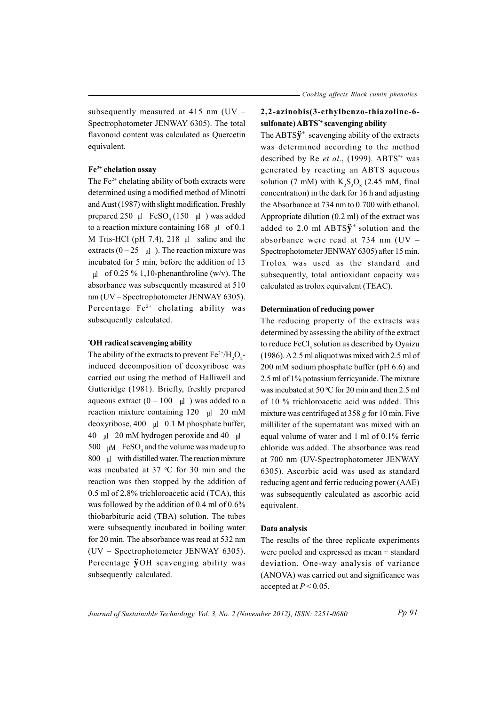subsequently measured at 415 nm  $(UV -$ Spectrophotometer JENWAY 6305). The total flavonoid content was calculated as Ouercetin equivalent.

# $Fe<sup>2+</sup>$  chelation assay

The  $Fe<sup>2+</sup>$  chelating ability of both extracts were determined using a modified method of Minotti and Aust (1987) with slight modification. Freshly prepared 250  $\mu$ l FeSO<sub>4</sub> (150  $\mu$ l) was added to a reaction mixture containing  $168 \text{ ul}$  of 0.1 M Tris-HCl (pH 7.4), 218  $\mu$  saline and the extracts  $(0-25 \text{ }\mu\text{l})$ . The reaction mixture was incubated for 5 min, before the addition of 13  $\mu$ l of 0.25 % 1,10-phenanthroline (w/v). The absorbance was subsequently measured at 510 nm (UV – Spectrophotometer JENWAY 6305). Percentage  $Fe^{2+}$  chelating ability was subsequently calculated.

#### 'OH radical scavenging ability

The ability of the extracts to prevent  $Fe^{2+}/H_{2}O_{2}$ induced decomposition of deoxyribose was carried out using the method of Halliwell and Gutteridge (1981). Briefly, freshly prepared aqueous extract  $(0 - 100 \text{ µ})$  was added to a reaction mixture containing  $120 \text{ ul}$  20 mM deoxyribose, 400  $\mu$ l 0.1 M phosphate buffer, 40  $\mu$ l 20 mM hydrogen peroxide and 40  $\mu$ l 500  $\mu$ M FeSO<sub>4</sub> and the volume was made up to 800 µ with distilled water. The reaction mixture was incubated at 37 °C for 30 min and the reaction was then stopped by the addition of 0.5 ml of 2.8% trichloroacetic acid (TCA), this was followed by the addition of 0.4 ml of 0.6% thiobarbituric acid (TBA) solution. The tubes were subsequently incubated in boiling water for 20 min. The absorbance was read at 532 nm (UV - Spectrophotometer JENWAY 6305). Percentage **ÿ**OH scavenging ability was subsequently calculated.

# 2,2-azinobis(3-ethylbenzo-thiazoline-6sulfonate) ABTS<sup>+</sup> scavenging ability

The ABTS $\ddot{\mathbf{v}}^+$  scavenging ability of the extracts was determined according to the method described by Re et al., (1999). ABTS<sup>\*+</sup> was generated by reacting an ABTS aqueous solution (7 mM) with  $K_S S_O$  (2.45 mM, final concentration) in the dark for 16 h and adjusting the Absorbance at 734 nm to 0.700 with ethanol. Appropriate dilution  $(0.2 \text{ ml})$  of the extract was added to 2.0 ml ABTS $\ddot{y}$ <sup>+</sup> solution and the absorbance were read at 734 nm ( $UV -$ Spectrophotometer JENWAY 6305) after 15 min. Trolox was used as the standard and subsequently, total antioxidant capacity was calculated as trolox equivalent (TEAC).

#### Determination of reducing power

The reducing property of the extracts was determined by assessing the ability of the extract to reduce FeCl, solution as described by Oyaizu  $(1986)$ . A 2.5 ml aliquot was mixed with 2.5 ml of 200 mM sodium phosphate buffer (pH 6.6) and 2.5 ml of 1% potassium ferricyanide. The mixture was incubated at 50 °C for 20 min and then 2.5 ml of 10 % trichloroacetic acid was added. This mixture was centrifuged at  $358$  g for 10 min. Five milliliter of the supernatant was mixed with an equal volume of water and 1 ml of 0.1% ferric chloride was added. The absorbance was read at 700 nm (UV-Spectrophotometer JENWAY 6305). Ascorbic acid was used as standard reducing agent and ferric reducing power (AAE) was subsequently calculated as ascorbic acid equivalent.

## Data analysis

The results of the three replicate experiments were pooled and expressed as mean  $\pm$  standard deviation. One-way analysis of variance (ANOVA) was carried out and significance was accepted at  $P < 0.05$ .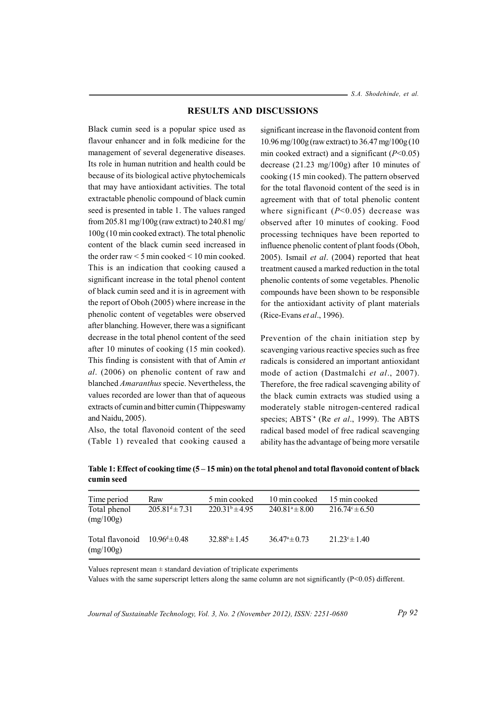### **RESULTS AND DISCUSSIONS**

Black cumin seed is a popular spice used as flavour enhancer and in folk medicine for the management of several degenerative diseases. Its role in human nutrition and health could be because of its biological active phytochemicals that may have antioxidant activities. The total extractable phenolic compound of black cumin seed is presented in table 1. The values ranged from 205.81 mg/100g (raw extract) to 240.81 mg/ 100g (10 min cooked extract). The total phenolic content of the black cumin seed increased in the order raw  $\leq$  5 min cooked  $\leq$  10 min cooked. This is an indication that cooking caused a significant increase in the total phenol content of black cumin seed and it is in agreement with the report of Oboh (2005) where increase in the phenolic content of vegetables were observed after blanching. However, there was a significant decrease in the total phenol content of the seed after 10 minutes of cooking (15 min cooked). This finding is consistent with that of Amin et al. (2006) on phenolic content of raw and blanched Amaranthus specie. Nevertheless, the values recorded are lower than that of aqueous extracts of cumin and bitter cumin (Thippeswamy and Naidu, 2005).

Also, the total flavonoid content of the seed (Table 1) revealed that cooking caused a

significant increase in the flavonoid content from 10.96 mg/100g (raw extract) to 36.47 mg/100g (10 min cooked extract) and a significant ( $P<0.05$ ) decrease  $(21.23 \text{ mg}/100 \text{g})$  after 10 minutes of cooking (15 min cooked). The pattern observed for the total flavonoid content of the seed is in agreement with that of total phenolic content where significant  $(P<0.05)$  decrease was observed after 10 minutes of cooking. Food processing techniques have been reported to influence phenolic content of plant foods (Oboh, 2005). Ismail et al.  $(2004)$  reported that heat treatment caused a marked reduction in the total phenolic contents of some vegetables. Phenolic compounds have been shown to be responsible for the antioxidant activity of plant materials (Rice-Evans et al., 1996).

Prevention of the chain initiation step by scavenging various reactive species such as free radicals is considered an important antioxidant mode of action (Dastmalchi et al., 2007). Therefore, the free radical scavenging ability of the black cumin extracts was studied using a moderately stable nitrogen-centered radical species; ABTS<sup>+</sup> (Re et al., 1999). The ABTS radical based model of free radical scavenging ability has the advantage of being more versatile

| Time period                  | Raw                      | 5 min cooked             | 10 min cooked            | 15 min cooked             |
|------------------------------|--------------------------|--------------------------|--------------------------|---------------------------|
| Total phenol<br>(mg/100g)    | $205.81^{d} \pm 7.31$    | $220.31^b \pm 4.95$      | $240.81^a \pm 8.00$      | $216.74^{\circ} \pm 6.50$ |
| Total flavonoid<br>(mg/100g) | $10.96^{\circ} \pm 0.48$ | $32.88^{\circ} \pm 1.45$ | $36.47^{\circ} \pm 0.73$ | $21.23^{\circ} \pm 1.40$  |

Table 1: Effect of cooking time  $(5-15 \text{ min})$  on the total phenol and total flavonoid content of black cumin seed

Values represent mean  $\pm$  standard deviation of triplicate experiments

Values with the same superscript letters along the same column are not significantly  $(P<0.05)$  different.

Journal of Sustainable Technology, Vol. 3, No. 2 (November 2012), ISSN: 2251-0680

 $Pp92$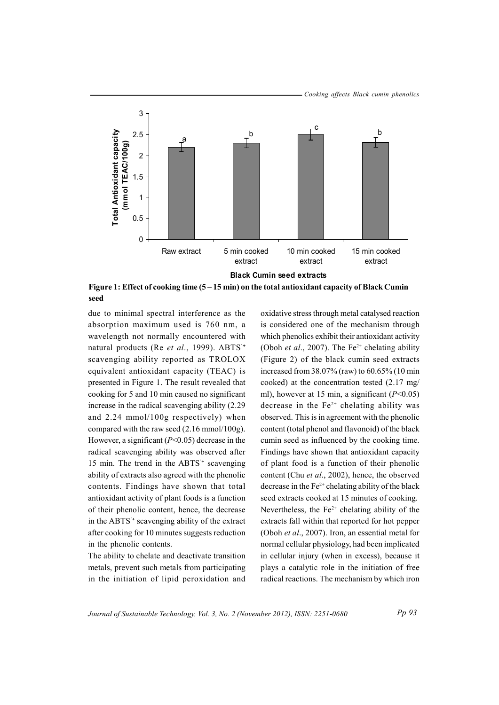

Figure 1: Effect of cooking time  $(5-15 \text{ min})$  on the total antioxidant capacity of Black Cumin seed

due to minimal spectral interference as the absorption maximum used is 760 nm, a wavelength not normally encountered with natural products (Re et al., 1999). ABTS<sup>+</sup> scavenging ability reported as TROLOX equivalent antioxidant capacity (TEAC) is presented in Figure 1. The result revealed that cooking for 5 and 10 min caused no significant increase in the radical scavenging ability (2.29) and  $2.24 \text{ mmol}/100g$  respectively) when compared with the raw seed  $(2.16 \text{ mmol}/100 \text{g})$ . However, a significant ( $P<0.05$ ) decrease in the radical scavenging ability was observed after 15 min. The trend in the ABTS<sup>+</sup> scavenging ability of extracts also agreed with the phenolic contents. Findings have shown that total antioxidant activity of plant foods is a function of their phenolic content, hence, the decrease in the ABTS<sup>+</sup> scavenging ability of the extract after cooking for 10 minutes suggests reduction in the phenolic contents.

The ability to chelate and deactivate transition metals, prevent such metals from participating in the initiation of lipid peroxidation and

oxidative stress through metal catalysed reaction is considered one of the mechanism through which phenolics exhibit their antioxidant activity (Oboh et al., 2007). The  $Fe^{2+}$  chelating ability (Figure 2) of the black cumin seed extracts increased from 38.07% (raw) to 60.65% (10 min cooked) at the concentration tested (2.17 mg/ ml), however at 15 min, a significant ( $P<0.05$ ) decrease in the  $Fe<sup>2+</sup>$  chelating ability was observed. This is in agreement with the phenolic content (total phenol and flavonoid) of the black cumin seed as influenced by the cooking time. Findings have shown that antioxidant capacity of plant food is a function of their phenolic content (Chu et al., 2002), hence, the observed decrease in the  $Fe<sup>2+</sup>$  chelating ability of the black seed extracts cooked at 15 minutes of cooking. Nevertheless, the  $Fe^{2+}$  chelating ability of the extracts fall within that reported for hot pepper (Oboh et al., 2007). Iron, an essential metal for normal cellular physiology, had been implicated in cellular injury (when in excess), because it plays a catalytic role in the initiation of free radical reactions. The mechanism by which iron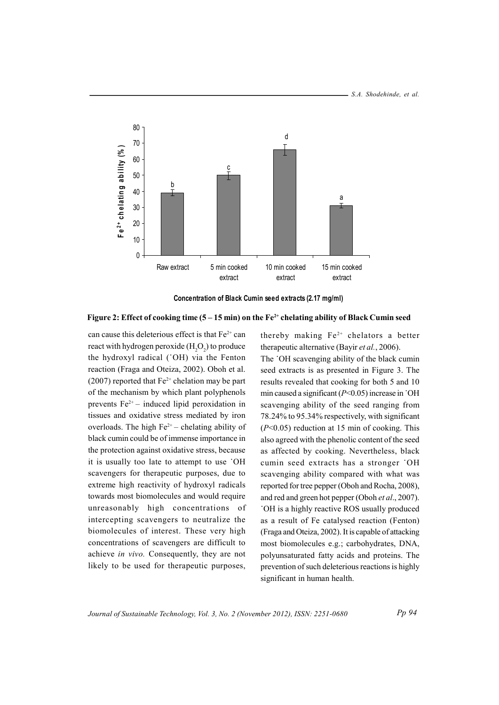



#### Figure 2: Effect of cooking time  $(5-15 \text{ min})$  on the Fe<sup>2+</sup> chelating ability of Black Cumin seed

can cause this deleterious effect is that  $Fe^{2+}$  can react with hydrogen peroxide  $(H<sub>2</sub>O<sub>2</sub>)$  to produce the hydroxyl radical ('OH) via the Fenton reaction (Fraga and Oteiza, 2002). Oboh et al. (2007) reported that  $Fe^{2+}$  chelation may be part of the mechanism by which plant polyphenols prevents  $Fe^{2+}$  – induced lipid peroxidation in tissues and oxidative stress mediated by iron overloads. The high  $Fe^{2+}$  - chelating ability of black cumin could be of immense importance in the protection against oxidative stress, because it is usually too late to attempt to use 'OH scavengers for therapeutic purposes, due to extreme high reactivity of hydroxyl radicals towards most biomolecules and would require unreasonably high concentrations of intercepting scavengers to neutralize the biomolecules of interest. These very high concentrations of scavengers are difficult to achieve in vivo. Consequently, they are not likely to be used for therapeutic purposes,

thereby making  $Fe^{2+}$  chelators a better therapeutic alternative (Bayir et al., 2006).

The 'OH scavenging ability of the black cumin seed extracts is as presented in Figure 3. The results revealed that cooking for both 5 and 10 min caused a significant ( $P<0.05$ ) increase in 'OH scavenging ability of the seed ranging from 78.24% to 95.34% respectively, with significant  $(P<0.05)$  reduction at 15 min of cooking. This also agreed with the phenolic content of the seed as affected by cooking. Nevertheless, black cumin seed extracts has a stronger 'OH scavenging ability compared with what was reported for tree pepper (Oboh and Rocha, 2008), and red and green hot pepper (Oboh et al., 2007). OH is a highly reactive ROS usually produced as a result of Fe catalysed reaction (Fenton) (Fraga and Oteiza, 2002). It is capable of attacking most biomolecules e.g.; carbohydrates, DNA, polyunsaturated fatty acids and proteins. The prevention of such deleterious reactions is highly significant in human health.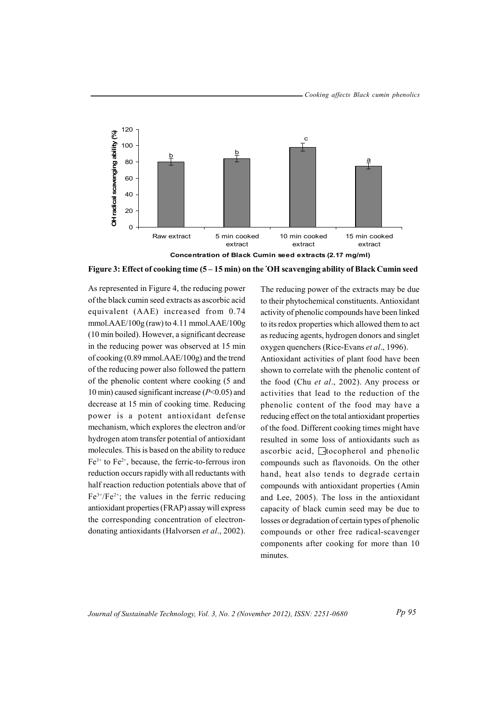

Figure 3: Effect of cooking time (5 – 15 min) on the 'OH scavenging ability of Black Cumin seed

As represented in Figure 4, the reducing power of the black cumin seed extracts as ascorbic acid equivalent (AAE) increased from 0.74 mmol. $AAE/100g$  (raw) to 4.11 mmol. $AAE/100g$ (10 min boiled). However, a significant decrease in the reducing power was observed at 15 min of cooking (0.89 mmol.AAE/100g) and the trend of the reducing power also followed the pattern of the phenolic content where cooking (5 and 10 min) caused significant increase  $(P<0.05)$  and decrease at 15 min of cooking time. Reducing power is a potent antioxidant defense mechanism, which explores the electron and/or hydrogen atom transfer potential of antioxidant molecules. This is based on the ability to reduce  $Fe^{3+}$  to  $Fe^{2+}$ , because, the ferric-to-ferrous iron reduction occurs rapidly with all reductants with half reaction reduction potentials above that of  $Fe^{3+}/Fe^{2+}$ ; the values in the ferric reducing antioxidant properties (FRAP) assay will express the corresponding concentration of electrondonating antioxidants (Halvorsen et al., 2002).

to their phytochemical constituents. Antioxidant activity of phenolic compounds have been linked to its redox properties which allowed them to act as reducing agents, hydrogen donors and singlet oxygen quenchers (Rice-Evans et al., 1996). Antioxidant activities of plant food have been shown to correlate with the phenolic content of the food (Chu et al., 2002). Any process or activities that lead to the reduction of the phenolic content of the food may have a reducing effect on the total antioxidant properties of the food. Different cooking times might have resulted in some loss of antioxidants such as ascorbic acid, Hocopherol and phenolic compounds such as flavonoids. On the other hand, heat also tends to degrade certain compounds with antioxidant properties (Amin and Lee, 2005). The loss in the antioxidant capacity of black cumin seed may be due to

The reducing power of the extracts may be due

losses or degradation of certain types of phenolic compounds or other free radical-scavenger components after cooking for more than 10 minutes.

Journal of Sustainable Technology, Vol. 3, No. 2 (November 2012), ISSN: 2251-0680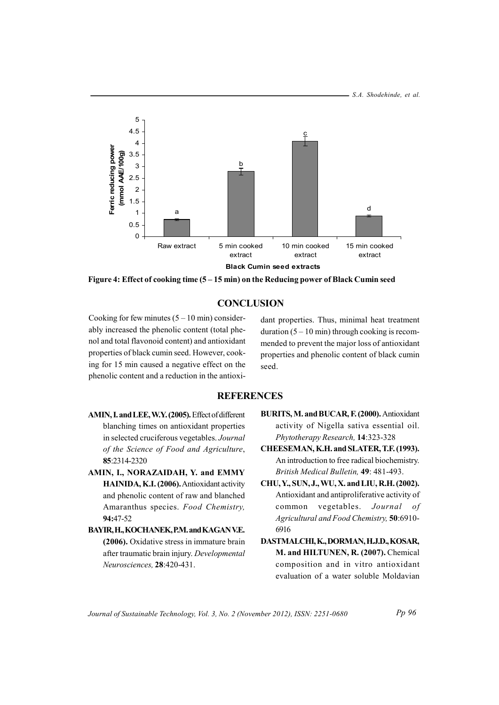

Figure 4: Effect of cooking time (5 – 15 min) on the Reducing power of Black Cumin seed

## **CONCLUSION**

Cooking for few minutes  $(5 – 10 \text{ min})$  considerably increased the phenolic content (total phenol and total flavonoid content) and antioxidant properties of black cumin seed. However, cooking for 15 min caused a negative effect on the phenolic content and a reduction in the antioxi-

dant properties. Thus, minimal heat treatment duration  $(5 - 10 \text{ min})$  through cooking is recommended to prevent the major loss of antioxidant properties and phenolic content of black cumin seed.

## **REFERENCES**

- AMIN, I. and LEE, W.Y. (2005). Effect of different blanching times on antioxidant properties in selected cruciferous vegetables. Journal of the Science of Food and Agriculture, 85:2314-2320
- AMIN, I., NORAZAIDAH, Y. and EMMY HAINIDA, K.I. (2006). Antioxidant activity and phenolic content of raw and blanched Amaranthus species. Food Chemistry, 94:47-52
- BAYIR, H., KOCHANEK, P.M. and KAGAN V.E. (2006). Oxidative stress in immature brain after traumatic brain injury. Developmental Neurosciences, 28:420-431.
- BURITS, M. and BUCAR, F. (2000). Antioxidant activity of Nigella sativa essential oil. Phytotherapy Research, 14:323-328
- CHEESEMAN, K.H. and SLATER, T.F. (1993). An introduction to free radical biochemistry. British Medical Bulletin, 49: 481-493.
- CHU, Y., SUN, J., WU, X. and LIU, R.H. (2002). Antioxidant and antiproliferative activity of common vegetables. Journal of Agricultural and Food Chemistry, 50:6910-6916
- DASTMALCHI, K., DORMAN, H.J.D., KOSAR, M. and HILTUNEN, R. (2007). Chemical composition and in vitro antioxidant evaluation of a water soluble Moldavian

Journal of Sustainable Technology, Vol. 3, No. 2 (November 2012), ISSN: 2251-0680

P<sub>p</sub> 96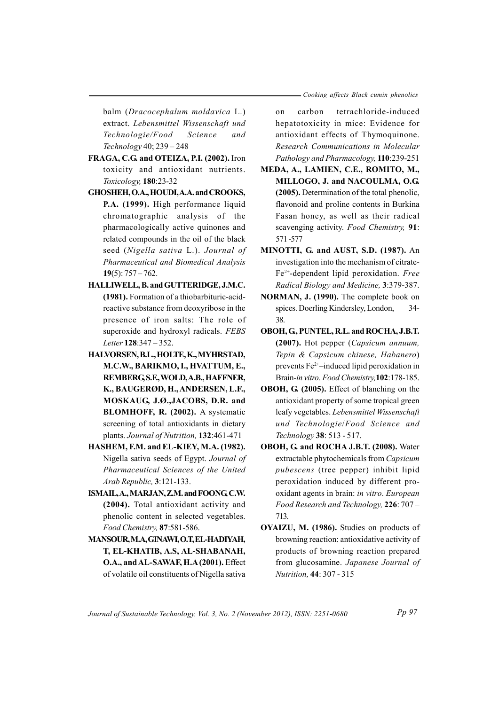balm (Dracocephalum moldavica L.) extract. Lebensmittel Wissenschaft und Technologie/Food Science and Technology 40; 239 - 248

- FRAGA, C.G. and OTEIZA, P.I. (2002). Iron toxicity and antioxidant nutrients. Toxicology, 180:23-32
- GHOSHEH, O.A., HOUDI, A.A. and CROOKS, P.A. (1999). High performance liquid chromatographic analysis of the pharmacologically active quinones and related compounds in the oil of the black seed (Nigella sativa L.). Journal of Pharmaceutical and Biomedical Analysis 19(5):  $757 - 762$ .
- HALLIWELL, B. and GUTTERIDGE, J.M.C. (1981). Formation of a thiobarbituric-acidreactive substance from deoxyribose in the presence of iron salts: The role of superoxide and hydroxyl radicals. FEBS Letter 128:347 - 352.
- HALVORSEN, B.L., HOLTE, K., MYHRSTAD, M.C.W., BARIKMO, I., HVATTUM, E., REMBERG S.F., WOLD, A.B., HAFFNER, K., BAUGERØD, H., ANDERSEN, L.F., MOSKAUG, J.Ø., JACOBS, D.R. and BLOMHOFF, R. (2002). A systematic screening of total antioxidants in dietary plants. Journal of Nutrition, 132:461-471
- HASHEM, F.M. and EL-KIEY, M.A. (1982). Nigella sativa seeds of Egypt. Journal of Pharmaceutical Sciences of the United Arab Republic, 3:121-133.
- ISMAIL, A., MARJAN, Z.M. and FOONG C.W. (2004). Total antioxidant activity and phenolic content in selected vegetables. Food Chemistry, 87:581-586.
- MANSOUR, M.A., GINAWI, O.T., EL-HADIYAH, T, EL-KHATIB, A.S, AL-SHABANAH, O.A., and AL-SAWAF, H.A (2001). Effect of volatile oil constituents of Nigella sativa

tetrachloride-induced  $\alpha$ n carbon hepatotoxicity in mice: Evidence for antioxidant effects of Thymoquinone. Research Communications in Molecular Pathology and Pharmacology, 110:239-251

- MEDA, A., LAMIEN, C.E., ROMITO, M., MILLOGO, J. and NACOULMA, O.G. (2005). Determination of the total phenolic, flavonoid and proline contents in Burkina Fasan honey, as well as their radical scavenging activity. Food Chemistry, 91: 571-577
- MINOTTI, G. and AUST, S.D. (1987). An investigation into the mechanism of citrate-Fe<sup>2+</sup>-dependent lipid peroxidation. Free Radical Biology and Medicine, 3:379-387.
- NORMAN, J. (1990). The complete book on spices. Doerling Kindersley, London,  $34-$ 38.
- OBOH, G, PUNTEL, R.L. and ROCHA, J.B.T. (2007). Hot pepper (Capsicum annuum, Tepin & Capsicum chinese, Habanero) prevents  $Fe<sup>2+</sup>$ -induced lipid peroxidation in Brain-in vitro. Food Chemistry, 102:178-185.
- OBOH, G (2005). Effect of blanching on the antioxidant property of some tropical green leafy vegetables. Lebensmittel Wissenschaft und Technologie/Food Science and Technology 38: 513 - 517.
- OBOH, G. and ROCHA J.B.T. (2008). Water extractable phytochemicals from Capsicum *pubescens* (tree pepper) inhibit lipid peroxidation induced by different prooxidant agents in brain: in vitro. European Food Research and Technology, 226: 707 -713.
- OYAIZU, M. (1986). Studies on products of browning reaction: antioxidative activity of products of browning reaction prepared from glucosamine. Japanese Journal of Nutrition, 44: 307 - 315

Journal of Sustainable Technology, Vol. 3, No. 2 (November 2012), ISSN: 2251-0680